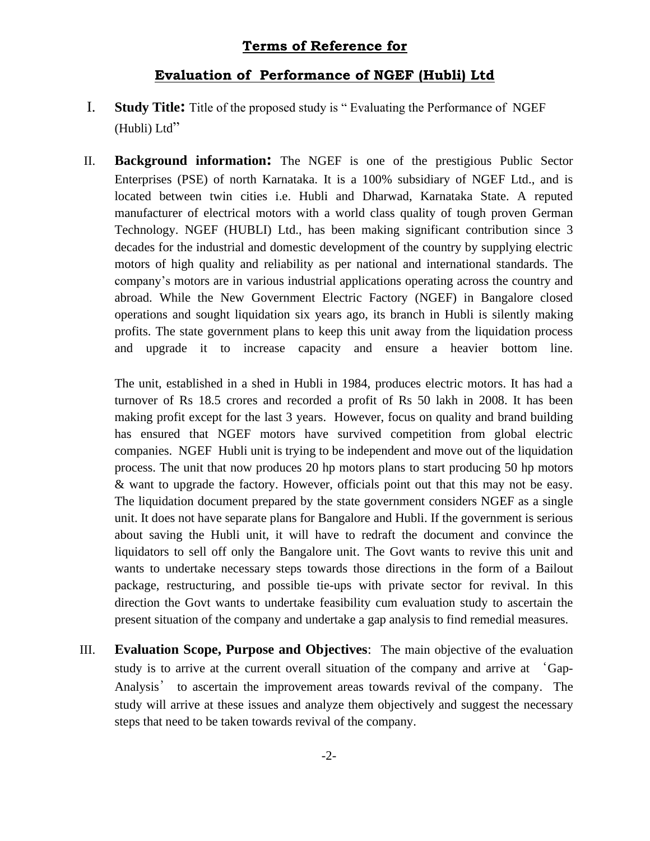## **Terms of Reference for**

### **Evaluation of Performance of NGEF (Hubli) Ltd**

- I. **Study Title:** Title of the proposed study is " Evaluating the Performance of NGEF (Hubli) Ltd"
- II. **Background information:** The NGEF is one of the prestigious Public Sector Enterprises (PSE) of north Karnataka. It is a 100% subsidiary of NGEF Ltd., and is located between twin cities i.e. Hubli and Dharwad, Karnataka State. A reputed manufacturer of electrical motors with a world class quality of tough proven German Technology. NGEF (HUBLI) Ltd., has been making significant contribution since 3 decades for the industrial and domestic development of the country by supplying electric motors of high quality and reliability as per national and international standards. The company's motors are in various industrial applications operating across the country and abroad. While the New Government Electric Factory (NGEF) in Bangalore closed operations and sought liquidation six years ago, its branch in Hubli is silently making profits. The state government plans to keep this unit away from the liquidation process and upgrade it to increase capacity and ensure a heavier bottom line.

The unit, established in a shed in Hubli in 1984, produces electric motors. It has had a turnover of Rs 18.5 crores and recorded a profit of Rs 50 lakh in 2008. It has been making profit except for the last 3 years. However, focus on quality and brand building has ensured that NGEF motors have survived competition from global electric companies. NGEF Hubli unit is trying to be independent and move out of the liquidation process. The unit that now produces 20 hp motors plans to start producing 50 hp motors & want to upgrade the factory. However, officials point out that this may not be easy. The liquidation document prepared by the state government considers NGEF as a single unit. It does not have separate plans for Bangalore and Hubli. If the government is serious about saving the Hubli unit, it will have to redraft the document and convince the liquidators to sell off only the Bangalore unit. The Govt wants to revive this unit and wants to undertake necessary steps towards those directions in the form of a Bailout package, restructuring, and possible tie-ups with private sector for revival. In this direction the Govt wants to undertake feasibility cum evaluation study to ascertain the present situation of the company and undertake a gap analysis to find remedial measures.

III. **Evaluation Scope, Purpose and Objectives**: The main objective of the evaluation study is to arrive at the current overall situation of the company and arrive at 'Gap-Analysis' to ascertain the improvement areas towards revival of the company. The study will arrive at these issues and analyze them objectively and suggest the necessary steps that need to be taken towards revival of the company.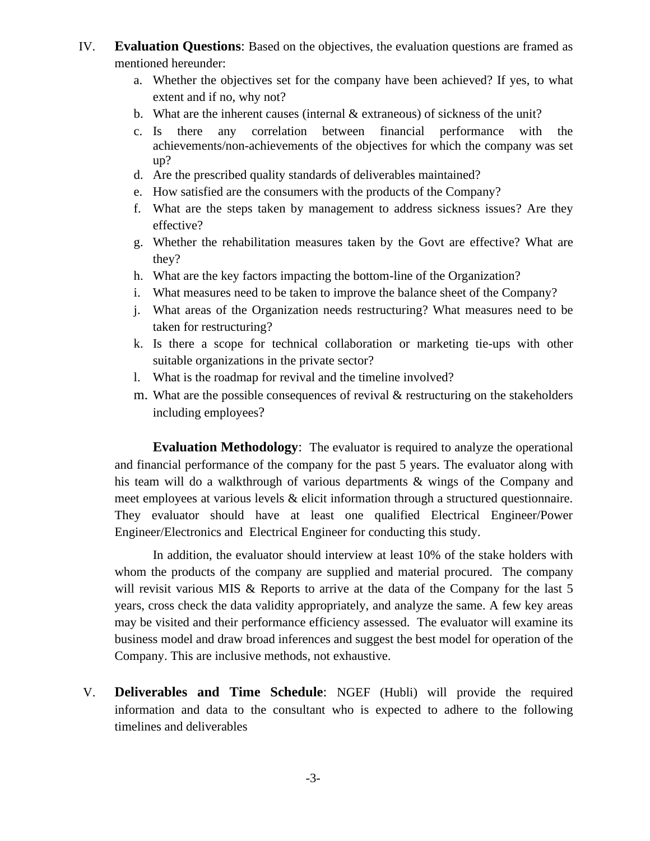- IV. **Evaluation Questions**: Based on the objectives, the evaluation questions are framed as mentioned hereunder:
	- a. Whether the objectives set for the company have been achieved? If yes, to what extent and if no, why not?
	- b. What are the inherent causes (internal & extraneous) of sickness of the unit?
	- c. Is there any correlation between financial performance with the achievements/non-achievements of the objectives for which the company was set up?
	- d. Are the prescribed quality standards of deliverables maintained?
	- e. How satisfied are the consumers with the products of the Company?
	- f. What are the steps taken by management to address sickness issues? Are they effective?
	- g. Whether the rehabilitation measures taken by the Govt are effective? What are they?
	- h. What are the key factors impacting the bottom-line of the Organization?
	- i. What measures need to be taken to improve the balance sheet of the Company?
	- j. What areas of the Organization needs restructuring? What measures need to be taken for restructuring?
	- k. Is there a scope for technical collaboration or marketing tie-ups with other suitable organizations in the private sector?
	- l. What is the roadmap for revival and the timeline involved?
	- m. What are the possible consequences of revival  $\&$  restructuring on the stakeholders including employees?

**Evaluation Methodology**: The evaluator is required to analyze the operational and financial performance of the company for the past 5 years. The evaluator along with his team will do a walkthrough of various departments & wings of the Company and meet employees at various levels & elicit information through a structured questionnaire. They evaluator should have at least one qualified Electrical Engineer/Power Engineer/Electronics and Electrical Engineer for conducting this study.

In addition, the evaluator should interview at least 10% of the stake holders with whom the products of the company are supplied and material procured. The company will revisit various MIS & Reports to arrive at the data of the Company for the last 5 years, cross check the data validity appropriately, and analyze the same. A few key areas may be visited and their performance efficiency assessed. The evaluator will examine its business model and draw broad inferences and suggest the best model for operation of the Company. This are inclusive methods, not exhaustive.

V. **Deliverables and Time Schedule**: NGEF (Hubli) will provide the required information and data to the consultant who is expected to adhere to the following timelines and deliverables